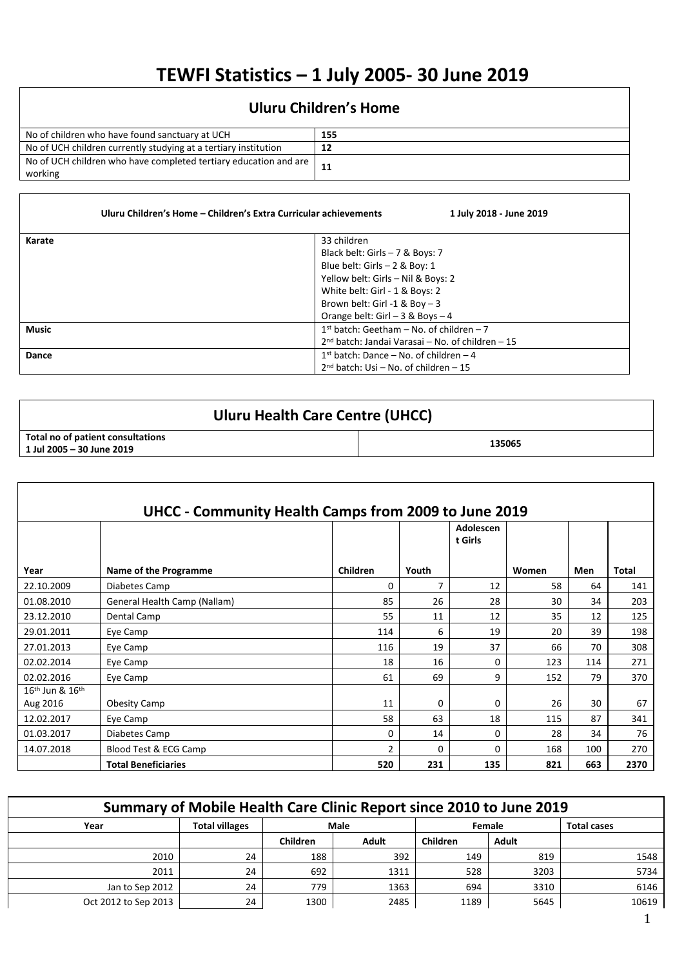## **TEWFI Statistics – 1 July 2005- 30 June 2019**

## **Uluru Children's Home**

| No of children who have found sanctuary at UCH                                | 155 |
|-------------------------------------------------------------------------------|-----|
| No of UCH children currently studying at a tertiary institution               |     |
| No of UCH children who have completed tertiary education and are I<br>working |     |

|              | Uluru Children's Home - Children's Extra Curricular achievements<br>1 July 2018 - June 2019                                              |
|--------------|------------------------------------------------------------------------------------------------------------------------------------------|
| Karate       | 33 children<br>Black belt: Girls $-7$ & Boys: 7                                                                                          |
|              | Blue belt: Girls $-2$ & Boy: 1<br>Yellow belt: Girls - Nil & Boys: 2<br>White belt: Girl - 1 & Boys: 2<br>Brown belt: Girl -1 & Boy $-3$ |
|              | Orange belt: Girl $-3$ & Boys $-4$                                                                                                       |
| <b>Music</b> | $1st$ batch: Geetham – No. of children – 7                                                                                               |
|              | 2 <sup>nd</sup> batch: Jandai Varasai – No. of children – 15                                                                             |
| Dance        | $1st$ batch: Dance – No. of children – 4<br>$2nd$ batch: Usi – No. of children – 15                                                      |

| Uluru Health Care Centre (UHCC)                                  |        |  |  |  |  |  |  |
|------------------------------------------------------------------|--------|--|--|--|--|--|--|
| Total no of patient consultations<br>$1$ Jul 2005 - 30 June 2019 | 135065 |  |  |  |  |  |  |

|                     | UHCC - Community Health Camps from 2009 to June 2019 |          |                |                      |       |     |       |  |  |  |  |  |  |
|---------------------|------------------------------------------------------|----------|----------------|----------------------|-------|-----|-------|--|--|--|--|--|--|
|                     |                                                      |          |                | Adolescen<br>t Girls |       |     |       |  |  |  |  |  |  |
| Year                | Name of the Programme                                | Children | Youth          |                      | Women | Men | Total |  |  |  |  |  |  |
| 22.10.2009          | Diabetes Camp                                        | $\Omega$ | $\overline{7}$ | 12                   | 58    | 64  | 141   |  |  |  |  |  |  |
| 01.08.2010          | General Health Camp (Nallam)                         | 85       | 26             | 28                   | 30    | 34  | 203   |  |  |  |  |  |  |
| 23.12.2010          | Dental Camp                                          | 55       | 11             | 12                   | 35    | 12  | 125   |  |  |  |  |  |  |
| 29.01.2011          | Eye Camp                                             | 114      | 6              | 19                   | 20    | 39  | 198   |  |  |  |  |  |  |
| 27.01.2013          | Eye Camp                                             | 116      | 19             | 37                   | 66    | 70  | 308   |  |  |  |  |  |  |
| 02.02.2014          | Eye Camp                                             | 18       | 16             | $\Omega$             | 123   | 114 | 271   |  |  |  |  |  |  |
| 02.02.2016          | Eye Camp                                             | 61       | 69             | 9                    | 152   | 79  | 370   |  |  |  |  |  |  |
| $16th$ Jun & $16th$ |                                                      |          |                |                      |       |     |       |  |  |  |  |  |  |
| Aug 2016            | <b>Obesity Camp</b>                                  | 11       | 0              | 0                    | 26    | 30  | 67    |  |  |  |  |  |  |
| 12.02.2017          | Eye Camp                                             | 58       | 63             | 18                   | 115   | 87  | 341   |  |  |  |  |  |  |
| 01.03.2017          | Diabetes Camp                                        | 0        | 14             | 0                    | 28    | 34  | 76    |  |  |  |  |  |  |
| 14.07.2018          | Blood Test & ECG Camp                                | 2        | 0              | $\Omega$             | 168   | 100 | 270   |  |  |  |  |  |  |
|                     | <b>Total Beneficiaries</b>                           | 520      | 231            | 135                  | 821   | 663 | 2370  |  |  |  |  |  |  |

| Summary of Mobile Health Care Clinic Report since 2010 to June 2019 |                       |                 |       |                 |        |                    |  |  |  |  |  |
|---------------------------------------------------------------------|-----------------------|-----------------|-------|-----------------|--------|--------------------|--|--|--|--|--|
| Year                                                                | <b>Total villages</b> |                 | Male  |                 | Female | <b>Total cases</b> |  |  |  |  |  |
|                                                                     |                       | <b>Children</b> | Adult | <b>Children</b> | Adult  |                    |  |  |  |  |  |
| 2010                                                                | 24                    | 188             | 392   | 149             | 819    | 1548               |  |  |  |  |  |
| 2011                                                                | 24                    | 692             | 1311  | 528             | 3203   | 5734               |  |  |  |  |  |
| Jan to Sep 2012                                                     | 24                    | 779             | 1363  | 694             | 3310   | 6146               |  |  |  |  |  |
| Oct 2012 to Sep 2013                                                | 24                    | 1300            | 2485  | 1189            | 5645   | 10619              |  |  |  |  |  |

Ξ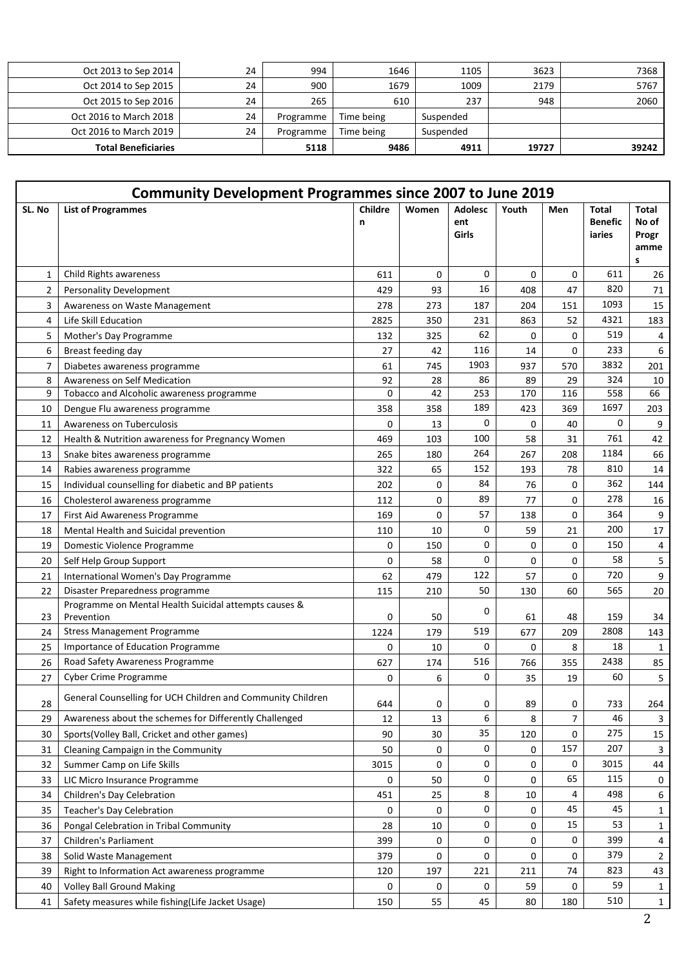| Oct 2013 to Sep 2014       | 24 | 994       | 1646       | 1105      | 3623  | 7368  |
|----------------------------|----|-----------|------------|-----------|-------|-------|
| Oct 2014 to Sep 2015       | 24 | 900       | 1679       | 1009      | 2179  | 5767  |
| Oct 2015 to Sep 2016       | 24 | 265       | 610        | 237       | 948   | 2060  |
| Oct 2016 to March 2018     | 24 | Programme | Time being | Suspended |       |       |
| Oct 2016 to March 2019     | 24 | Programme | Time being | Suspended |       |       |
| <b>Total Beneficiaries</b> |    | 5118      | 9486       | 4911      | 19727 | 39242 |

|                | <b>Community Development Programmes since 2007 to June 2019</b>     |              |       |                                |       |     |                                   |                                      |  |  |
|----------------|---------------------------------------------------------------------|--------------|-------|--------------------------------|-------|-----|-----------------------------------|--------------------------------------|--|--|
| SL. No         | <b>List of Programmes</b>                                           | Childre<br>n | Women | <b>Adolesc</b><br>ent<br>Girls | Youth | Men | Total<br><b>Benefic</b><br>iaries | Total<br>No of<br>Progr<br>amme<br>s |  |  |
| $\mathbf{1}$   | Child Rights awareness                                              | 611          | 0     | 0                              | 0     | 0   | 611                               | 26                                   |  |  |
| $\overline{2}$ | <b>Personality Development</b>                                      | 429          | 93    | 16                             | 408   | 47  | 820                               | 71                                   |  |  |
| 3              | Awareness on Waste Management                                       | 278          | 273   | 187                            | 204   | 151 | 1093                              | 15                                   |  |  |
| 4              | Life Skill Education                                                | 2825         | 350   | 231                            | 863   | 52  | 4321                              | 183                                  |  |  |
| 5              | Mother's Day Programme                                              | 132          | 325   | 62                             | 0     | 0   | 519                               | 4                                    |  |  |
| 6              | Breast feeding day                                                  | 27           | 42    | 116                            | 14    | 0   | 233                               | 6                                    |  |  |
| $\overline{7}$ | Diabetes awareness programme                                        | 61           | 745   | 1903                           | 937   | 570 | 3832                              | 201                                  |  |  |
| 8              | Awareness on Self Medication                                        | 92           | 28    | 86                             | 89    | 29  | 324                               | 10                                   |  |  |
| 9              | Tobacco and Alcoholic awareness programme                           | 0            | 42    | 253                            | 170   | 116 | 558                               | 66                                   |  |  |
| 10             | Dengue Flu awareness programme                                      | 358          | 358   | 189                            | 423   | 369 | 1697                              | 203                                  |  |  |
| 11             | Awareness on Tuberculosis                                           | 0            | 13    | 0                              | 0     | 40  | 0                                 | 9                                    |  |  |
| 12             | Health & Nutrition awareness for Pregnancy Women                    | 469          | 103   | 100                            | 58    | 31  | 761                               | 42                                   |  |  |
| 13             | Snake bites awareness programme                                     | 265          | 180   | 264                            | 267   | 208 | 1184                              | 66                                   |  |  |
| 14             | Rabies awareness programme                                          | 322          | 65    | 152                            | 193   | 78  | 810                               | 14                                   |  |  |
| 15             | Individual counselling for diabetic and BP patients                 | 202          | 0     | 84                             | 76    | 0   | 362                               | 144                                  |  |  |
| 16             | Cholesterol awareness programme                                     | 112          | 0     | 89                             | 77    | 0   | 278                               | 16                                   |  |  |
| 17             | First Aid Awareness Programme                                       | 169          | 0     | 57                             | 138   | 0   | 364                               | 9                                    |  |  |
| 18             | Mental Health and Suicidal prevention                               | 110          | 10    | 0                              | 59    | 21  | 200                               | 17                                   |  |  |
| 19             | Domestic Violence Programme                                         | 0            | 150   | 0                              | 0     | 0   | 150                               | 4                                    |  |  |
| 20             | Self Help Group Support                                             | 0            | 58    | 0                              | 0     | 0   | 58                                | 5                                    |  |  |
| 21             | International Women's Day Programme                                 | 62           | 479   | 122                            | 57    | 0   | 720                               | 9                                    |  |  |
| 22             | Disaster Preparedness programme                                     | 115          | 210   | 50                             | 130   | 60  | 565                               | 20                                   |  |  |
| 23             | Programme on Mental Health Suicidal attempts causes &<br>Prevention | 0            | 50    | 0                              | 61    | 48  | 159                               | 34                                   |  |  |
| 24             | <b>Stress Management Programme</b>                                  | 1224         | 179   | 519                            | 677   | 209 | 2808                              | 143                                  |  |  |
| 25             | Importance of Education Programme                                   | 0            | 10    | 0                              | 0     | 8   | 18                                | $\mathbf{1}$                         |  |  |
| 26             | Road Safety Awareness Programme                                     | 627          | 174   | 516                            | 766   | 355 | 2438                              | 85                                   |  |  |
| 27             | <b>Cyber Crime Programme</b>                                        | 0            | 6     | 0                              | 35    | 19  | 60                                | 5                                    |  |  |
| 28             | General Counselling for UCH Children and Community Children         | 644          | 0     | 0                              | 89    | 0   | 733                               | 264                                  |  |  |
| 29             | Awareness about the schemes for Differently Challenged              | 12           | 13    | 6                              | 8     | 7   | 46                                | 3                                    |  |  |
| 30             | Sports(Volley Ball, Cricket and other games)                        | 90           | 30    | 35                             | 120   | 0   | 275                               | 15                                   |  |  |
| 31             | Cleaning Campaign in the Community                                  | 50           | 0     | 0                              | 0     | 157 | 207                               | 3                                    |  |  |
| 32             | Summer Camp on Life Skills                                          | 3015         | 0     | 0                              | 0     | 0   | 3015                              | 44                                   |  |  |
| 33             | LIC Micro Insurance Programme                                       | 0            | 50    | $\mathbf 0$                    | 0     | 65  | 115                               | 0                                    |  |  |
| 34             | Children's Day Celebration                                          | 451          | 25    | 8                              | 10    | 4   | 498                               | 6                                    |  |  |
| 35             | Teacher's Day Celebration                                           | 0            | 0     | $\mathbf 0$                    | 0     | 45  | 45                                | $\mathbf{1}$                         |  |  |
| 36             | Pongal Celebration in Tribal Community                              | 28           | 10    | 0                              | 0     | 15  | 53                                | $\mathbf{1}$                         |  |  |
| 37             | Children's Parliament                                               | 399          | 0     | 0                              | 0     | 0   | 399                               | 4                                    |  |  |
| 38             | Solid Waste Management                                              | 379          | 0     | 0                              | 0     | 0   | 379                               | $\overline{2}$                       |  |  |
| 39             | Right to Information Act awareness programme                        | 120          | 197   | 221                            | 211   | 74  | 823                               | 43                                   |  |  |
| 40             | <b>Volley Ball Ground Making</b>                                    | 0            | 0     | 0                              | 59    | 0   | 59                                | $\mathbf{1}$                         |  |  |
| 41             | Safety measures while fishing(Life Jacket Usage)                    | 150          | 55    | 45                             | 80    | 180 | 510                               | $\mathbf{1}$                         |  |  |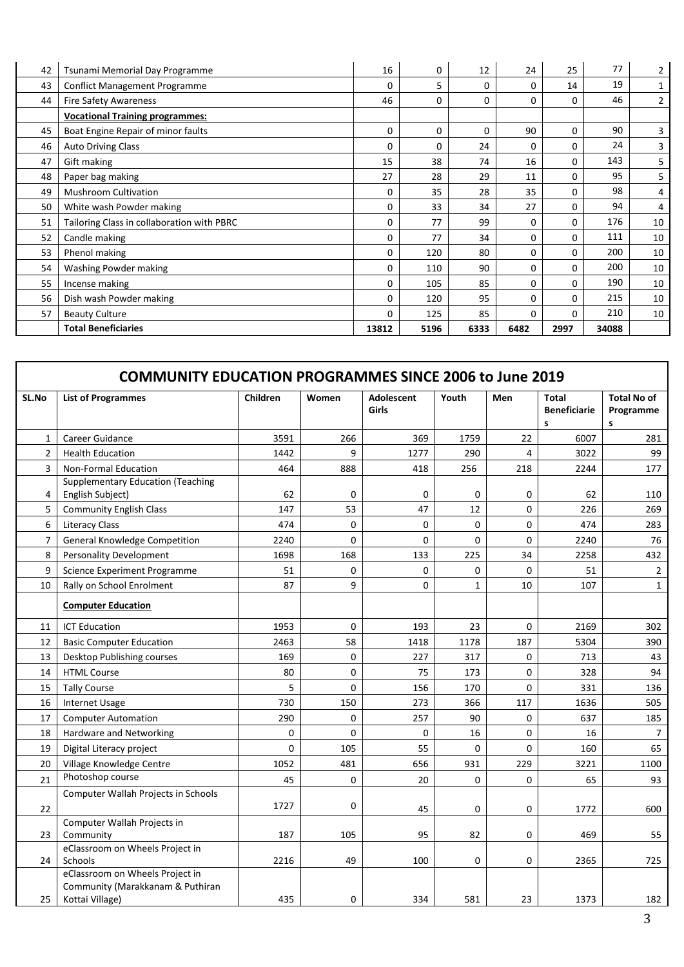| 42 | Tsunami Memorial Day Programme             | 16       | 0    | 12   | 24   | 25   | 77    | 2  |
|----|--------------------------------------------|----------|------|------|------|------|-------|----|
| 43 | <b>Conflict Management Programme</b>       | 0        | 5    | 0    | 0    | 14   | 19    | 1  |
| 44 | <b>Fire Safety Awareness</b>               | 46       | 0    | 0    | 0    | 0    | 46    | 2  |
|    | <b>Vocational Training programmes:</b>     |          |      |      |      |      |       |    |
| 45 | Boat Engine Repair of minor faults         | 0        | 0    | 0    | 90   | 0    | 90    | 3  |
| 46 | <b>Auto Driving Class</b>                  | 0        | 0    | 24   | 0    | 0    | 24    | 3  |
| 47 | Gift making                                | 15       | 38   | 74   | 16   | 0    | 143   | 5  |
| 48 | Paper bag making                           | 27       | 28   | 29   | 11   | 0    | 95    | 5  |
| 49 | <b>Mushroom Cultivation</b>                | $\Omega$ | 35   | 28   | 35   | 0    | 98    | 4  |
| 50 | White wash Powder making                   | $\Omega$ | 33   | 34   | 27   | 0    | 94    | 4  |
| 51 | Tailoring Class in collaboration with PBRC | 0        | 77   | 99   | 0    | 0    | 176   | 10 |
| 52 | Candle making                              | 0        | 77   | 34   | 0    | 0    | 111   | 10 |
| 53 | Phenol making                              | $\Omega$ | 120  | 80   | 0    | 0    | 200   | 10 |
| 54 | Washing Powder making                      | $\Omega$ | 110  | 90   | 0    | 0    | 200   | 10 |
| 55 | Incense making                             | 0        | 105  | 85   | 0    | 0    | 190   | 10 |
| 56 | Dish wash Powder making                    | 0        | 120  | 95   | 0    | 0    | 215   | 10 |
| 57 | <b>Beauty Culture</b>                      | 0        | 125  | 85   | 0    | 0    | 210   | 10 |
|    | <b>Total Beneficiaries</b>                 | 13812    | 5196 | 6333 | 6482 | 2997 | 34088 |    |

|                | <b>COMMUNITY EDUCATION PROGRAMMES SINCE 2006 to June 2019</b>                          |          |          |                            |              |             |                                          |                                      |  |  |  |  |  |
|----------------|----------------------------------------------------------------------------------------|----------|----------|----------------------------|--------------|-------------|------------------------------------------|--------------------------------------|--|--|--|--|--|
| SL.No          | <b>List of Programmes</b>                                                              | Children | Women    | <b>Adolescent</b><br>Girls | Youth        | Men         | <b>Total</b><br><b>Beneficiarie</b><br>S | <b>Total No of</b><br>Programme<br>s |  |  |  |  |  |
| $\mathbf{1}$   | Career Guidance                                                                        | 3591     | 266      | 369                        | 1759         | 22          | 6007                                     | 281                                  |  |  |  |  |  |
| $\overline{2}$ | <b>Health Education</b>                                                                | 1442     | 9        | 1277                       | 290          | 4           | 3022                                     | 99                                   |  |  |  |  |  |
| $\overline{3}$ | <b>Non-Formal Education</b>                                                            | 464      | 888      | 418                        | 256          | 218         | 2244                                     | 177                                  |  |  |  |  |  |
| 4              | <b>Supplementary Education (Teaching</b><br>English Subject)                           | 62       | 0        | 0                          | 0            | 0           | 62                                       | 110                                  |  |  |  |  |  |
| 5              | <b>Community English Class</b>                                                         | 147      | 53       | 47                         | 12           | $\Omega$    | 226                                      | 269                                  |  |  |  |  |  |
| 6              | <b>Literacy Class</b>                                                                  | 474      | 0        | 0                          | 0            | 0           | 474                                      | 283                                  |  |  |  |  |  |
| $\overline{7}$ | General Knowledge Competition                                                          | 2240     | 0        | $\Omega$                   | 0            | $\Omega$    | 2240                                     | 76                                   |  |  |  |  |  |
| 8              | <b>Personality Development</b>                                                         | 1698     | 168      | 133                        | 225          | 34          | 2258                                     | 432                                  |  |  |  |  |  |
| 9              | Science Experiment Programme                                                           | 51       | 0        | 0                          | 0            | 0           | 51                                       | $2^{\circ}$                          |  |  |  |  |  |
| 10             | Rally on School Enrolment                                                              | 87       | 9        | 0                          | $\mathbf{1}$ | 10          | 107                                      | $\mathbf{1}$                         |  |  |  |  |  |
|                | <b>Computer Education</b>                                                              |          |          |                            |              |             |                                          |                                      |  |  |  |  |  |
| 11             | <b>ICT Education</b>                                                                   | 1953     | $\Omega$ | 193                        | 23           | $\Omega$    | 2169                                     | 302                                  |  |  |  |  |  |
| 12             | <b>Basic Computer Education</b>                                                        | 2463     | 58       | 1418                       | 1178         | 187         | 5304                                     | 390                                  |  |  |  |  |  |
| 13             | Desktop Publishing courses                                                             | 169      | 0        | 227                        | 317          | 0           | 713                                      | 43                                   |  |  |  |  |  |
| 14             | <b>HTML Course</b>                                                                     | 80       | 0        | 75                         | 173          | 0           | 328                                      | 94                                   |  |  |  |  |  |
| 15             | <b>Tally Course</b>                                                                    | 5        | 0        | 156                        | 170          | 0           | 331                                      | 136                                  |  |  |  |  |  |
| 16             | <b>Internet Usage</b>                                                                  | 730      | 150      | 273                        | 366          | 117         | 1636                                     | 505                                  |  |  |  |  |  |
| 17             | <b>Computer Automation</b>                                                             | 290      | 0        | 257                        | 90           | 0           | 637                                      | 185                                  |  |  |  |  |  |
| 18             | Hardware and Networking                                                                | $\Omega$ | 0        | 0                          | 16           | $\mathbf 0$ | 16                                       | $7\overline{ }$                      |  |  |  |  |  |
| 19             | Digital Literacy project                                                               | 0        | 105      | 55                         | 0            | 0           | 160                                      | 65                                   |  |  |  |  |  |
| 20             | Village Knowledge Centre                                                               | 1052     | 481      | 656                        | 931          | 229         | 3221                                     | 1100                                 |  |  |  |  |  |
| 21             | Photoshop course                                                                       | 45       | 0        | 20                         | 0            | 0           | 65                                       | 93                                   |  |  |  |  |  |
| 22             | Computer Wallah Projects in Schools                                                    | 1727     | 0        | 45                         | 0            | 0           | 1772                                     | 600                                  |  |  |  |  |  |
| 23             | Computer Wallah Projects in<br>Community                                               | 187      | 105      | 95                         | 82           | 0           | 469                                      | 55                                   |  |  |  |  |  |
| 24             | eClassroom on Wheels Project in<br>Schools                                             | 2216     | 49       | 100                        | 0            | 0           | 2365                                     | 725                                  |  |  |  |  |  |
| 25             | eClassroom on Wheels Project in<br>Community (Marakkanam & Puthiran<br>Kottai Village) | 435      | 0        | 334                        | 581          | 23          | 1373                                     | 182                                  |  |  |  |  |  |